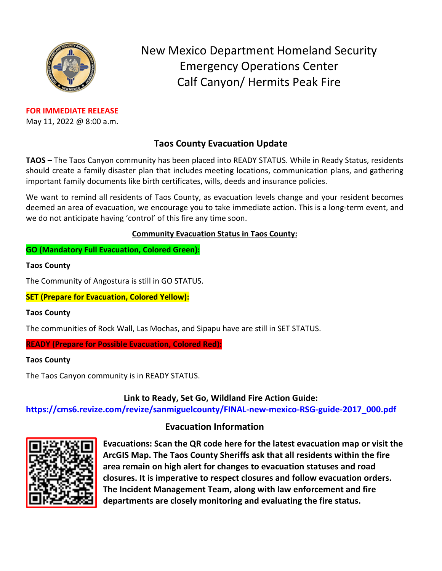

**FOR IMMEDIATE RELEASE** May 11, 2022 @ 8:00 a.m. New Mexico Department Homeland Security Emergency Operations Center Calf Canyon/ Hermits Peak Fire

# **Taos County Evacuation Update**

**TAOS –** The Taos Canyon community has been placed into READY STATUS. While in Ready Status, residents should create a family disaster plan that includes meeting locations, communication plans, and gathering important family documents like birth certificates, wills, deeds and insurance policies.

We want to remind all residents of Taos County, as evacuation levels change and your resident becomes deemed an area of evacuation, we encourage you to take immediate action. This is a long-term event, and we do not anticipate having 'control' of this fire any time soon.

### **Community Evacuation Status in Taos County:**

**GO (Mandatory Full Evacuation, Colored Green):**

#### **Taos County**

The Community of Angostura is still in GO STATUS.

**SET (Prepare for Evacuation, Colored Yellow):**

### **Taos County**

The communities of Rock Wall, Las Mochas, and Sipapu have are still in SET STATUS.

**READY (Prepare for Possible Evacuation, Colored Red):**

### **Taos County**

The Taos Canyon community is in READY STATUS.

**Link to Ready, Set Go, Wildland Fire Action Guide:**

**[https://cms6.revize.com/revize/sanmiguelcounty/FINAL-new-mexico-RSG-guide-2017\\_000.pdf](https://cms6.revize.com/revize/sanmiguelcounty/FINAL-new-mexico-RSG-guide-2017_000.pdf)**

## **Evacuation Information**



**Evacuations: Scan the QR code here for the latest evacuation map or visit the ArcGIS Map. The Taos County Sheriffs ask that all residents within the fire area remain on high alert for changes to evacuation statuses and road closures. It is imperative to respect closures and follow evacuation orders. The Incident Management Team, along with law enforcement and fire departments are closely monitoring and evaluating the fire status.**